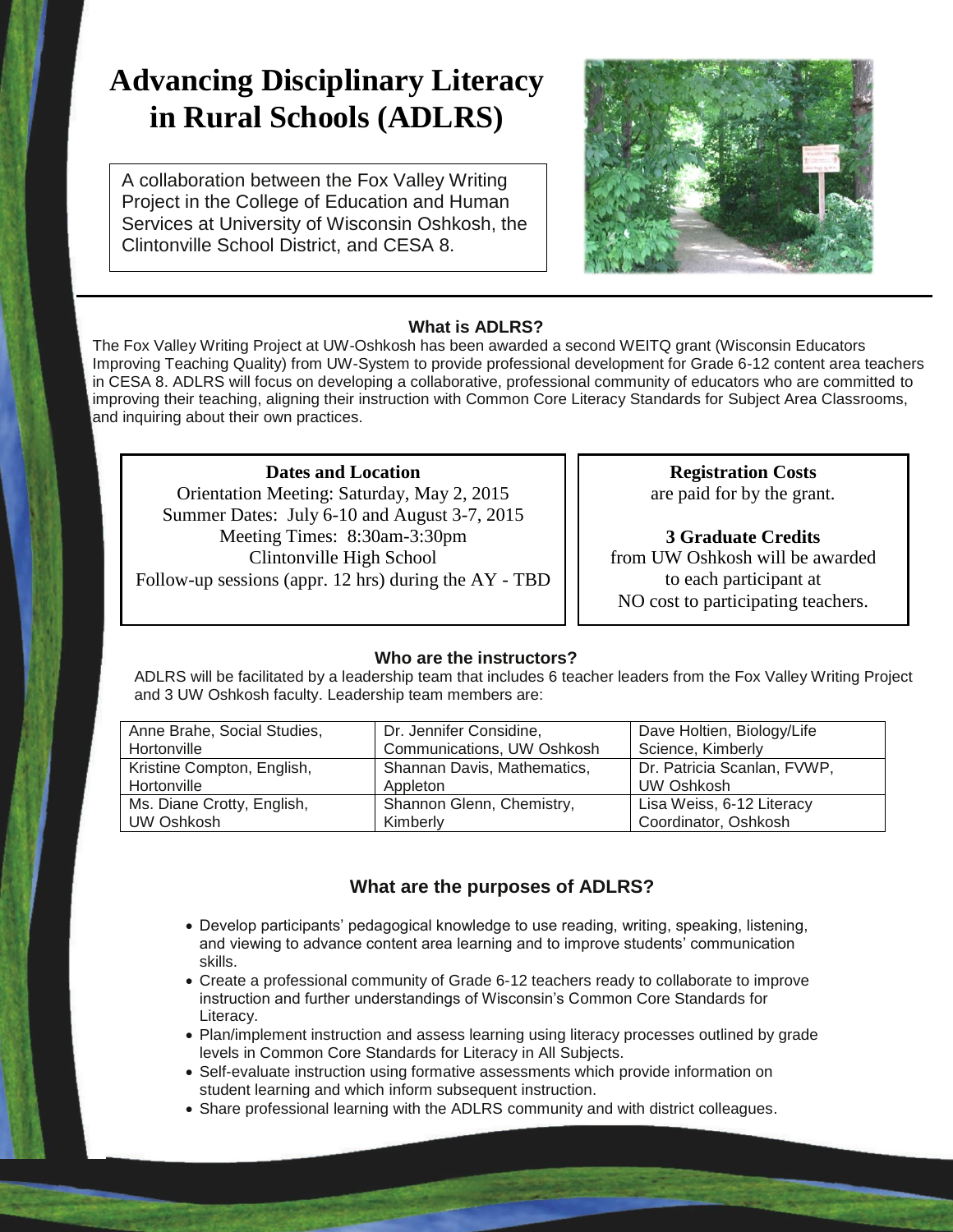# **Advancing Disciplinary Literacy in Rural Schools (ADLRS)**

A collaboration between the Fox Valley Writing Project in the College of Education and Human Services at University of Wisconsin Oshkosh, the Clintonville School District, and CESA 8.



#### **What is ADLRS?**

The Fox Valley Writing Project at UW-Oshkosh has been awarded a second WEITQ grant (Wisconsin Educators Improving Teaching Quality) from UW-System to provide professional development for Grade 6-12 content area teachers in CESA 8. ADLRS will focus on developing a collaborative, professional community of educators who are committed to improving their teaching, aligning their instruction with Common Core Literacy Standards for Subject Area Classrooms, and inquiring about their own practices.

**Dates and Location** Orientation Meeting: Saturday, May 2, 2015 Summer Dates: July 6-10 and August 3-7, 2015 Meeting Times: 8:30am-3:30pm Clintonville High School Follow-up sessions (appr. 12 hrs) during the AY - TBD

**Registration Costs** are paid for by the grant.

**3 Graduate Credits** from UW Oshkosh will be awarded to each participant at NO cost to participating teachers.

#### **Who are the instructors?**

ADLRS will be facilitated by a leadership team that includes 6 teacher leaders from the Fox Valley Writing Project and 3 UW Oshkosh faculty. Leadership team members are:

| Anne Brahe, Social Studies, | Dr. Jennifer Considine,     | Dave Holtien, Biology/Life  |
|-----------------------------|-----------------------------|-----------------------------|
| Hortonville                 | Communications, UW Oshkosh  | Science, Kimberly           |
| Kristine Compton, English,  | Shannan Davis, Mathematics, | Dr. Patricia Scanlan, FVWP, |
| Hortonville                 | Appleton                    | UW Oshkosh                  |
| Ms. Diane Crotty, English,  | Shannon Glenn, Chemistry,   | Lisa Weiss, 6-12 Literacy   |
| UW Oshkosh                  | Kimberly                    | Coordinator, Oshkosh        |

### **What are the purposes of ADLRS?**

- Develop participants' pedagogical knowledge to use reading, writing, speaking, listening, and viewing to advance content area learning and to improve students' communication skills.
- Create a professional community of Grade 6-12 teachers ready to collaborate to improve instruction and further understandings of Wisconsin's Common Core Standards for Literacy.
- Plan/implement instruction and assess learning using literacy processes outlined by grade levels in Common Core Standards for Literacy in All Subjects.
- Self-evaluate instruction using formative assessments which provide information on student learning and which inform subsequent instruction.
- Share professional learning with the ADLRS community and with district colleagues.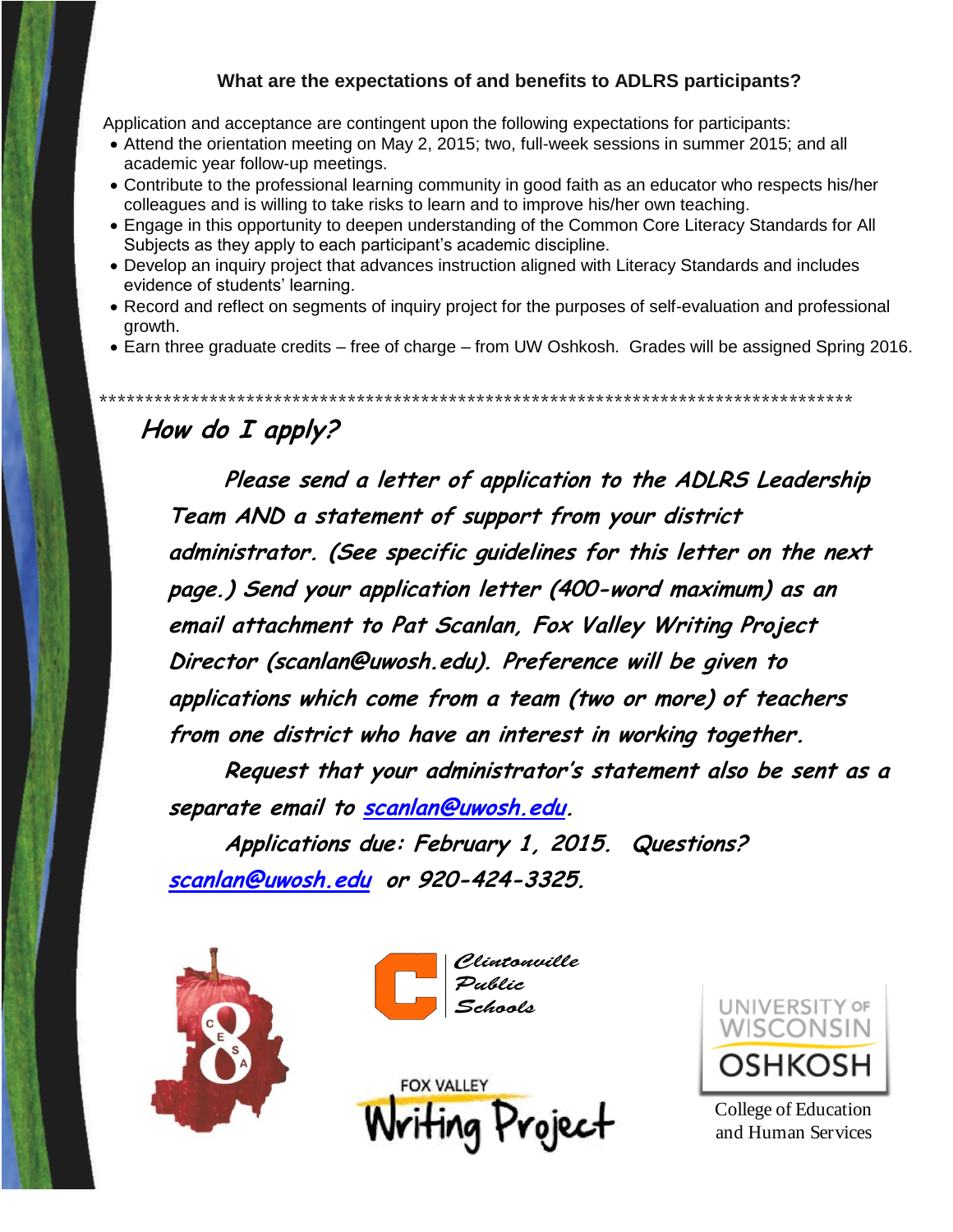### **What are the expectations of and benefits to ADLRS participants?**

Application and acceptance are contingent upon the following expectations for participants:

- Attend the orientation meeting on May 2, 2015; two, full-week sessions in summer 2015; and all academic year follow-up meetings.
- Contribute to the professional learning community in good faith as an educator who respects his/her colleagues and is willing to take risks to learn and to improve his/her own teaching.
- Engage in this opportunity to deepen understanding of the Common Core Literacy Standards for All Subjects as they apply to each participant's academic discipline.
- Develop an inquiry project that advances instruction aligned with Literacy Standards and includes evidence of students' learning.

\*\*\*\*\*\*\*\*\*\*\*\*\*\*\*\*\*\*\*\*\*\*\*\*\*\*\*\*\*\*\*\*\*\*\*\*\*\*\*\*\*\*\*\*\*\*\*\*\*\*\*\*\*\*\*\*\*\*\*\*\*\*\*\*\*\*\*\*\*\*\*\*\*\*\*\*\*\*\*\*\*\*

- Record and reflect on segments of inquiry project for the purposes of self-evaluation and professional growth.
- Earn three graduate credits free of charge from UW Oshkosh. Grades will be assigned Spring 2016.

## **How do I apply?**

**Please send a letter of application to the ADLRS Leadership Team AND a statement of support from your district administrator. (See specific guidelines for this letter on the next page.) Send your application letter (400-word maximum) as an email attachment to Pat Scanlan, Fox Valley Writing Project Director (scanlan@uwosh.edu). Preference will be given to applications which come from a team (two or more) of teachers from one district who have an interest in working together.**

**Request that your administrator's statement also be sent as a separate email to [scanlan@uwosh.edu.](mailto:scanlan@uwosh.edu)** 

**Applications due: February 1, 2015. Questions? [scanlan@uwosh.edu](mailto:scanlan@uwosh.edu) or 920-424-3325.** 









College of Education and Human Services